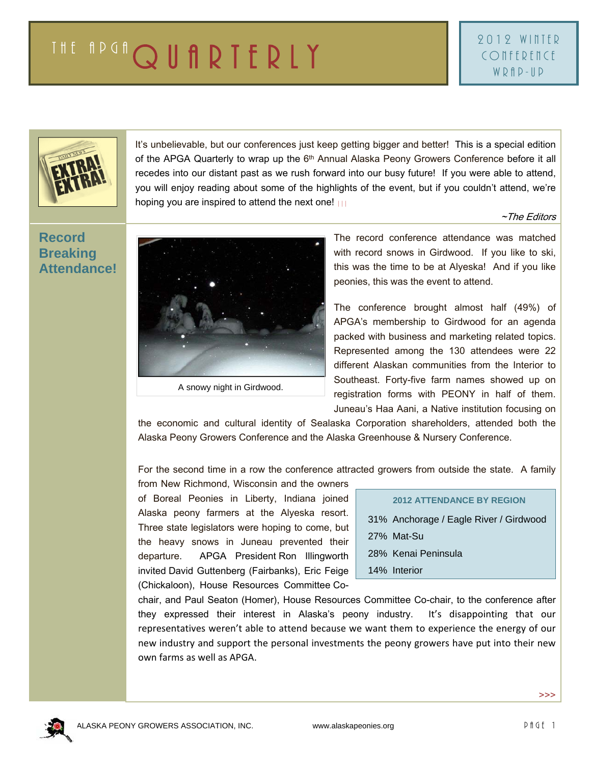

It's unbelievable, but our conferences just keep getting bigger and better! This is a special edition of the APGA Quarterly to wrap up the 6<sup>th</sup> Annual Alaska Peony Growers Conference before it all recedes into our distant past as we rush forward into our busy future! If you were able to attend, you will enjoy reading about some of the highlights of the event, but if you couldn't attend, we're hoping you are inspired to attend the next one!

~The Editors

# **Record Breaking Attendance!**



The record conference attendance was matched with record snows in Girdwood. If you like to ski, this was the time to be at Alyeska! And if you like peonies, this was the event to attend.

The conference brought almost half (49%) of APGA's membership to Girdwood for an agenda packed with business and marketing related topics. Represented among the 130 attendees were 22 different Alaskan communities from the Interior to Southeast. Forty-five farm names showed up on registration forms with PEONY in half of them. Juneau's Haa Aani, a Native institution focusing on

the economic and cultural identity of Sealaska Corporation shareholders, attended both the Alaska Peony Growers Conference and the Alaska Greenhouse & Nursery Conference.

For the second time in a row the conference attracted growers from outside the state. A family

from New Richmond, Wisconsin and the owners of Boreal Peonies in Liberty, Indiana joined Alaska peony farmers at the Alyeska resort. Three state legislators were hoping to come, but the heavy snows in Juneau prevented their departure. APGA President Ron Illingworth invited David Guttenberg (Fairbanks), Eric Feige (Chickaloon), House Resources Committee Co-

| <b>2012 ATTENDANCE BY REGION</b>       |
|----------------------------------------|
| 31% Anchorage / Eagle River / Girdwood |
| 27% Mat-Su                             |
| 28% Kenai Peninsula                    |
| 14% Interior                           |

chair, and Paul Seaton (Homer), House Resources Committee Co-chair, to the conference after they expressed their interest in Alaska's peony industry. It's disappointing that our representatives weren't able to attend because we want them to experience the energy of our new industry and support the personal investments the peony growers have put into their new own farms as well as APGA.



>>>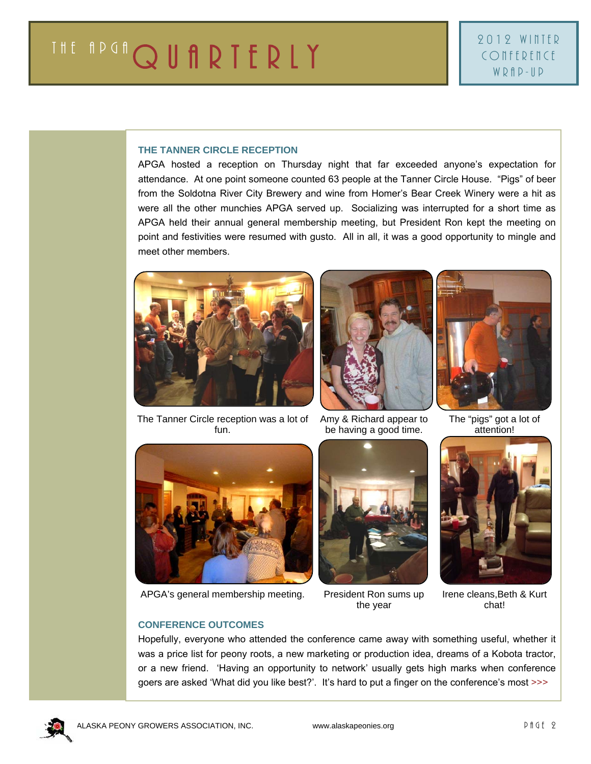### **THE TANNER CIRCLE RECEPTION**

APGA hosted a reception on Thursday night that far exceeded anyone's expectation for attendance. At one point someone counted 63 people at the Tanner Circle House. "Pigs" of beer from the Soldotna River City Brewery and wine from Homer's Bear Creek Winery were a hit as were all the other munchies APGA served up. Socializing was interrupted for a short time as APGA held their annual general membership meeting, but President Ron kept the meeting on point and festivities were resumed with gusto. All in all, it was a good opportunity to mingle and meet other members.







The "pigs" got a lot of attention!

The Tanner Circle reception was a lot of fun.



APGA's general membership meeting. President Ron sums up

the year

be having a good time.



Irene cleans, Beth & Kurt chat!

#### **CONFERENCE OUTCOMES**

Hopefully, everyone who attended the conference came away with something useful, whether it was a price list for peony roots, a new marketing or production idea, dreams of a Kobota tractor, or a new friend. 'Having an opportunity to network' usually gets high marks when conference goers are asked 'What did you like best?'. It's hard to put a finger on the conference's most >>>

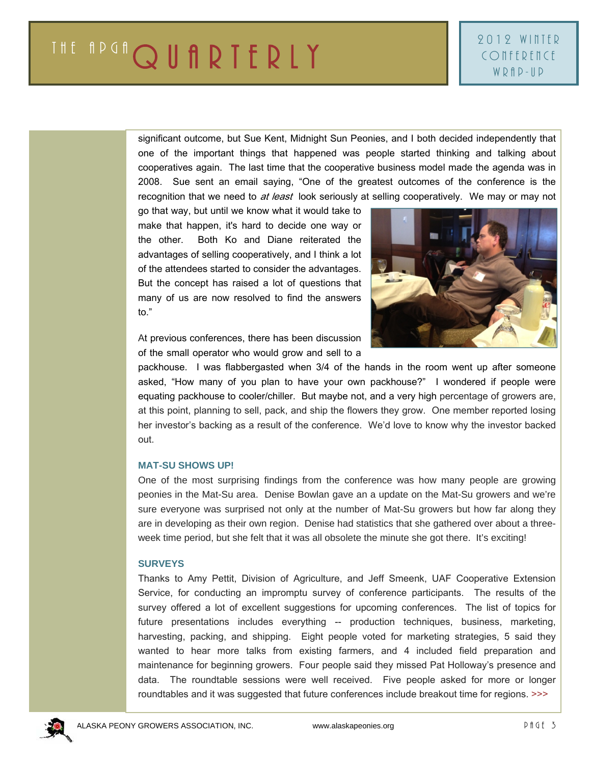significant outcome, but Sue Kent, Midnight Sun Peonies, and I both decided independently that one of the important things that happened was people started thinking and talking about cooperatives again. The last time that the cooperative business model made the agenda was in 2008. Sue sent an email saying, "One of the greatest outcomes of the conference is the recognition that we need to at least look seriously at selling cooperatively. We may or may not

go that way, but until we know what it would take to make that happen, it's hard to decide one way or the other. Both Ko and Diane reiterated the advantages of selling cooperatively, and I think a lot of the attendees started to consider the advantages. But the concept has raised a lot of questions that many of us are now resolved to find the answers to."



At previous conferences, there has been discussion of the small operator who would grow and sell to a

packhouse. I was flabbergasted when 3/4 of the hands in the room went up after someone asked, "How many of you plan to have your own packhouse?" I wondered if people were equating packhouse to cooler/chiller. But maybe not, and a very high percentage of growers are, at this point, planning to sell, pack, and ship the flowers they grow. One member reported losing her investor's backing as a result of the conference. We'd love to know why the investor backed out.

#### **MAT-SU SHOWS UP!**

One of the most surprising findings from the conference was how many people are growing peonies in the Mat-Su area. Denise Bowlan gave an a update on the Mat-Su growers and we're sure everyone was surprised not only at the number of Mat-Su growers but how far along they are in developing as their own region. Denise had statistics that she gathered over about a threeweek time period, but she felt that it was all obsolete the minute she got there. It's exciting!

# **SURVEYS**

Thanks to Amy Pettit, Division of Agriculture, and Jeff Smeenk, UAF Cooperative Extension Service, for conducting an impromptu survey of conference participants. The results of the survey offered a lot of excellent suggestions for upcoming conferences. The list of topics for future presentations includes everything -- production techniques, business, marketing, harvesting, packing, and shipping. Eight people voted for marketing strategies, 5 said they wanted to hear more talks from existing farmers, and 4 included field preparation and maintenance for beginning growers. Four people said they missed Pat Holloway's presence and data. The roundtable sessions were well received. Five people asked for more or longer roundtables and it was suggested that future conferences include breakout time for regions. >>>

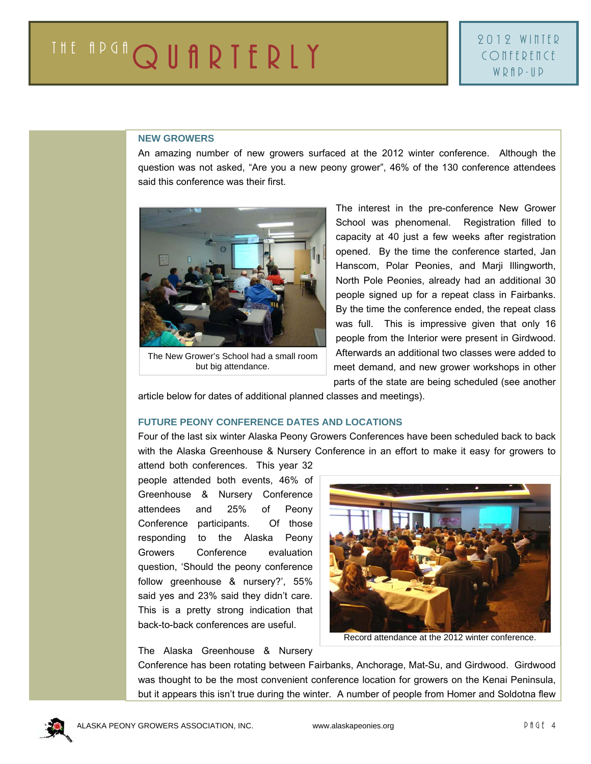#### **NEW GROWERS**

An amazing number of new growers surfaced at the 2012 winter conference. Although the question was not asked, "Are you a new peony grower", 46% of the 130 conference attendees said this conference was their first.



The New Grower's School had a small room but big attendance.

The interest in the pre-conference New Grower School was phenomenal. Registration filled to capacity at 40 just a few weeks after registration opened. By the time the conference started, Jan Hanscom, Polar Peonies, and Marji Illingworth, North Pole Peonies, already had an additional 30 people signed up for a repeat class in Fairbanks. By the time the conference ended, the repeat class was full. This is impressive given that only 16 people from the Interior were present in Girdwood. Afterwards an additional two classes were added to meet demand, and new grower workshops in other parts of the state are being scheduled (see another

article below for dates of additional planned classes and meetings).

# **FUTURE PEONY CONFERENCE DATES AND LOCATIONS**

Four of the last six winter Alaska Peony Growers Conferences have been scheduled back to back with the Alaska Greenhouse & Nursery Conference in an effort to make it easy for growers to

attend both conferences. This year 32 people attended both events, 46% of Greenhouse & Nursery Conference attendees and 25% of Peony Conference participants. Of those responding to the Alaska Peony Growers Conference evaluation question, 'Should the peony conference follow greenhouse & nursery?', 55% said yes and 23% said they didn't care. This is a pretty strong indication that back-to-back conferences are useful.



Record attendance at the 2012 winter conference.

The Alaska Greenhouse & Nursery

Conference has been rotating between Fairbanks, Anchorage, Mat-Su, and Girdwood. Girdwood was thought to be the most convenient conference location for growers on the Kenai Peninsula, but it appears this isn't true during the winter. A number of people from Homer and Soldotna flew

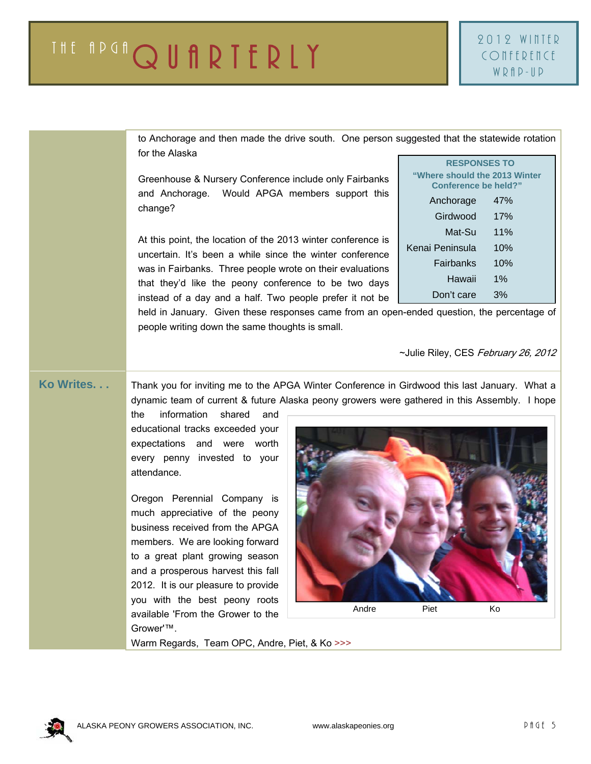| to Anchorage and then made the drive south. One person suggested that the statewide rotation<br>for the Alaska                                                                                                                                                                                                                                                                                          |                                                                                                                     |
|---------------------------------------------------------------------------------------------------------------------------------------------------------------------------------------------------------------------------------------------------------------------------------------------------------------------------------------------------------------------------------------------------------|---------------------------------------------------------------------------------------------------------------------|
| Greenhouse & Nursery Conference include only Fairbanks<br>and Anchorage. Would APGA members support this<br>change?                                                                                                                                                                                                                                                                                     | <b>RESPONSES TO</b><br>"Where should the 2013 Winter<br>Conference be held?"<br>47%<br>Anchorage<br>Girdwood<br>17% |
| At this point, the location of the 2013 winter conference is<br>uncertain. It's been a while since the winter conference<br>was in Fairbanks. Three people wrote on their evaluations<br>that they'd like the peony conference to be two days<br>instead of a day and a half. Two people prefer it not be<br>held in January. Given these responses came from an open-ended question, the percentage of | 11%<br>Mat-Su<br>10%<br>Kenai Peninsula<br>10%<br>Fairbanks<br>Hawaii<br>$1\%$<br>3%<br>Don't care                  |
| people writing down the same thoughts is small.                                                                                                                                                                                                                                                                                                                                                         | ~Julie Riley, CES February 26, 2012                                                                                 |

**Ko Writes. . .** Thank you for inviting me to the APGA Winter Conference in Girdwood this last January. What a dynamic team of current & future Alaska peony growers were gathered in this Assembly. I hope

> the information shared and educational tracks exceeded your expectations and were worth every penny invested to your attendance.

> Oregon Perennial Company is much appreciative of the peony business received from the APGA members. We are looking forward to a great plant growing season and a prosperous harvest this fall 2012. It is our pleasure to provide you with the best peony roots available 'From the Grower to the Grower'™.



Warm Regards, Team OPC, Andre, Piet, & Ko >>>